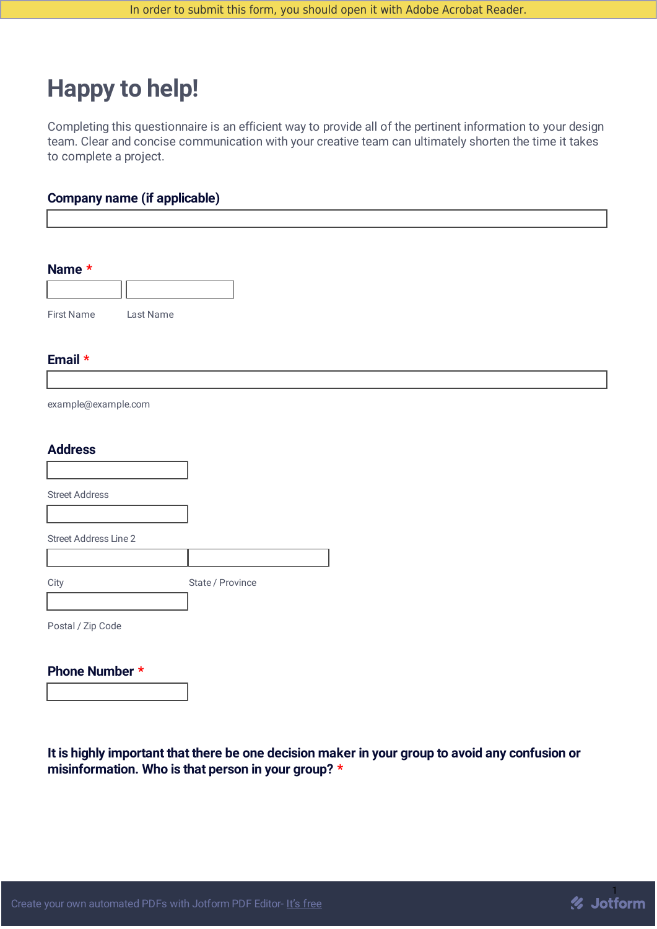# **Happy to help!**

Completing this questionnaire is an efficient way to provide all of the pertinent information to your design team. Clear and concise communication with your creative team can ultimately shorten the time it takes to complete a project.

#### **Company name (if applicable)**

| Name *                  |                  |  |
|-------------------------|------------------|--|
|                         |                  |  |
| First Name<br>Last Name |                  |  |
|                         |                  |  |
| Email *                 |                  |  |
|                         |                  |  |
| example@example.com     |                  |  |
|                         |                  |  |
| <b>Address</b>          |                  |  |
|                         |                  |  |
| <b>Street Address</b>   |                  |  |
|                         |                  |  |
| Street Address Line 2   |                  |  |
|                         |                  |  |
| City                    | State / Province |  |
|                         |                  |  |
| Postal / Zip Code       |                  |  |
| Phone Number *          |                  |  |

**It is highly important that there be one decision maker in your group to avoid any confusion or misinformation. Who is that person in your group? \***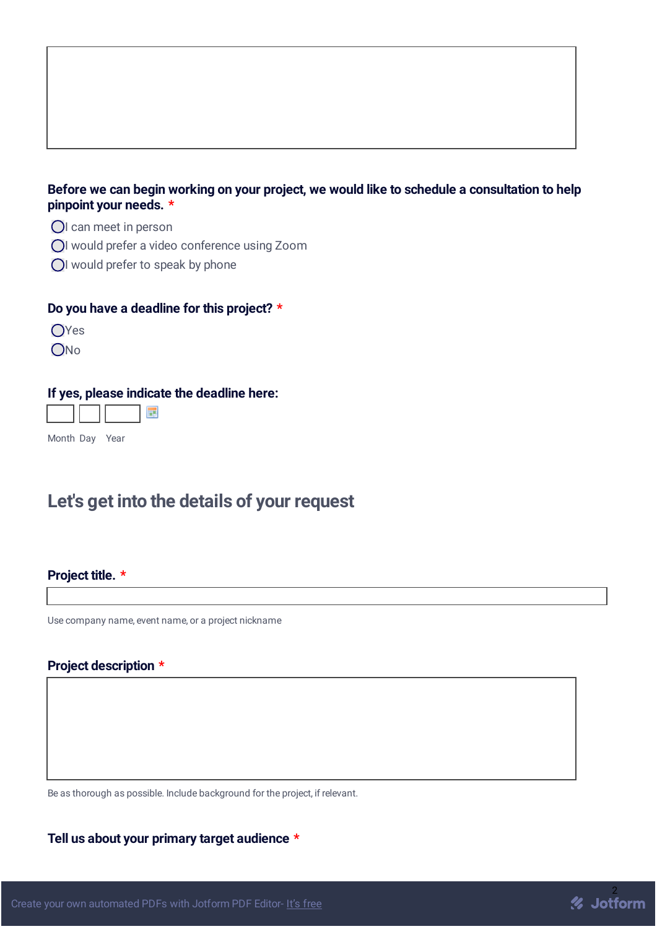#### **Before we can begin working on your project, we would like to schedule a consultation to help pinpoint your needs. \***

- OI can meet in person
- OI would prefer a video conference using Zoom
- OI would prefer to speak by phone

#### **Do you have a deadline for this project? \***

OYes

ONo

#### **If yes, please indicate the deadline here:**



Month Day Year

## **Let's get into the details of your request**

#### **Project title. \***

Use company name, event name, or a project nickname

#### **Project description \***

Be as thorough as possible. Include background for the project, if relevant.

**Tell us about your primary target audience \***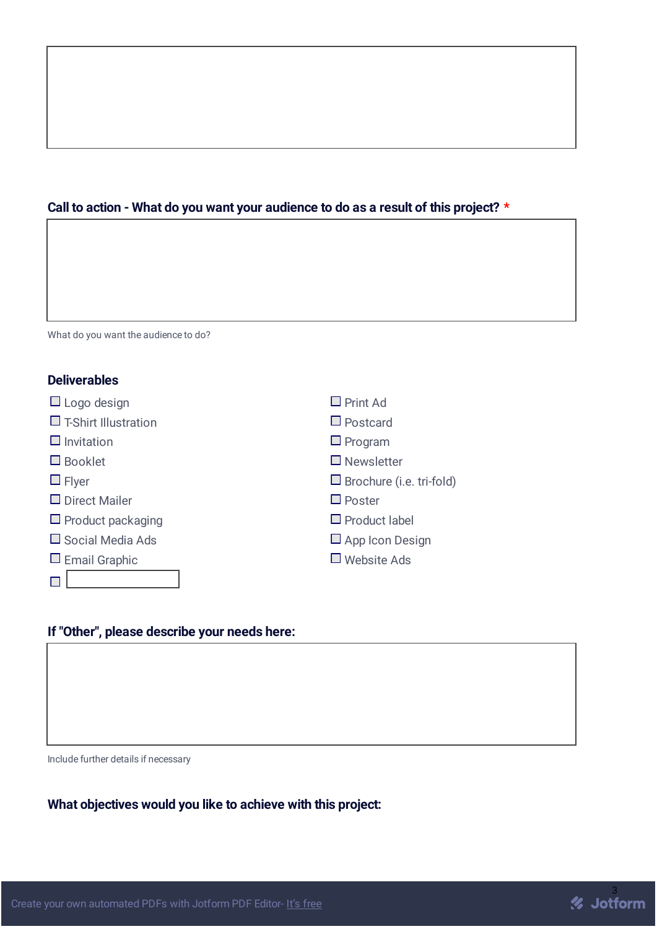### **Call to action - What do you want your audience to do as a result of this project? \***

| <b>Deliverables</b>         |                                 |  |
|-----------------------------|---------------------------------|--|
| $\Box$ Logo design          | $\Box$ Print Ad                 |  |
| $\Box$ T-Shirt Illustration | $\Box$ Postcard                 |  |
| $\Box$ Invitation           | $\Box$ Program                  |  |
| $\Box$ Booklet              | $\Box$ Newsletter               |  |
| $\Box$ Flyer                | $\Box$ Brochure (i.e. tri-fold) |  |
| $\Box$ Direct Mailer        | $\Box$ Poster                   |  |
| $\Box$ Product packaging    | $\Box$ Product label            |  |
| $\Box$ Social Media Ads     | $\Box$ App Icon Design          |  |
| $\Box$ Email Graphic        | $\Box$ Website Ads              |  |
|                             |                                 |  |

#### **If "Other", please describe your needs here:**

Include further details if necessary

What do you want the audience to do?

**What objectives would you like to achieve with this project:**

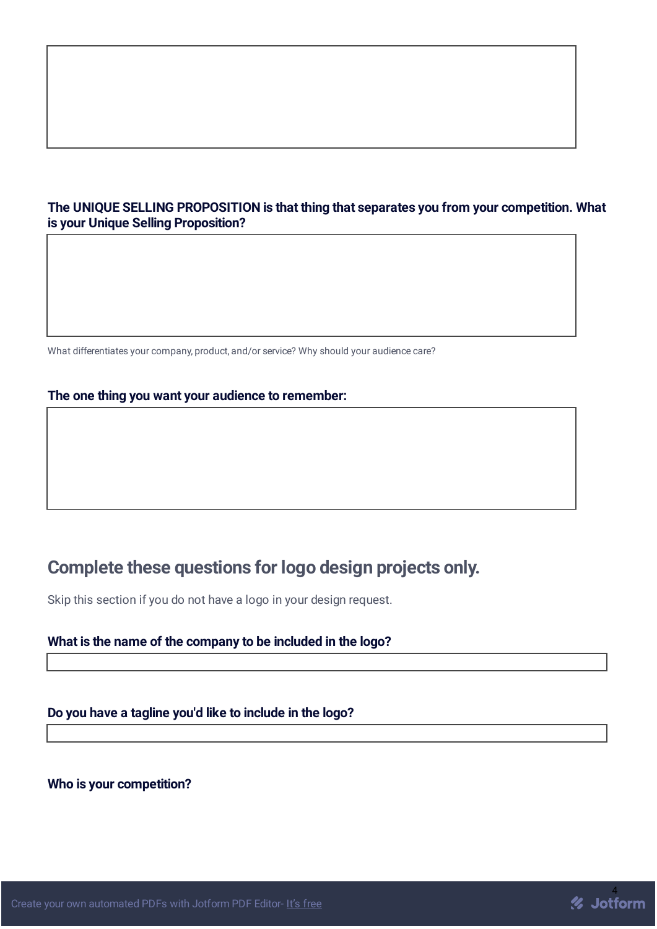#### **The UNIQUE SELLING PROPOSITION is that thing that separates you from your competition. What is your Unique Selling Proposition?**

What differentiates your company, product, and/or service? Why should your audience care?

#### **The one thing you want your audience to remember:**

## **Complete these questions for logo design projects only.**

Skip this section if you do not have a logo in your design request.

#### **What is the name of the company to be included in the logo?**

#### **Do you have a tagline you'd like to include in the logo?**

#### **Who is your competition?**

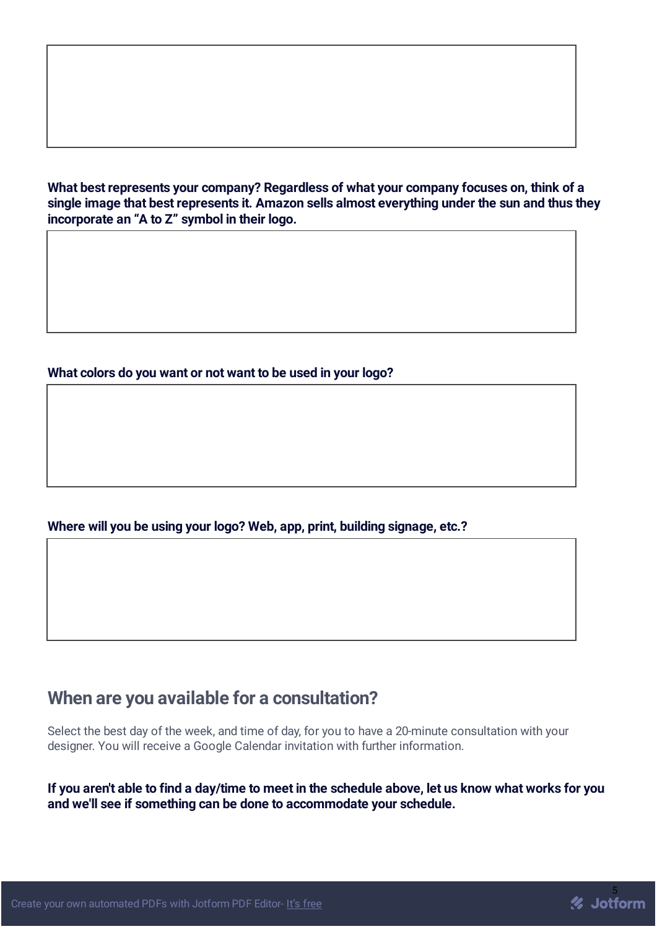**What best represents your company? Regardless of what your company focuses on, think of a single image that best represents it. Amazon sells almost everything under the sun and thus they incorporate an "A to Z" symbol in their logo.**

#### **What colors do you want or not want to be used in your logo?**

#### **Where will you be using your logo? Web, app, print, building signage, etc.?**

### **When are you available for a consultation?**

Select the best day of the week, and time of day, for you to have a 20-minute consultation with your designer. You will receive a Google Calendar invitation with further information.

If you aren't able to find a day/time to meet in the schedule above, let us know what works for you **and we'll see if something can be done to accommodate your schedule.**

*//* Jotform